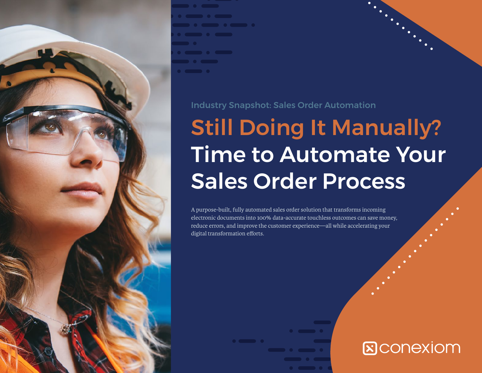

#### Industry Snapshot: Sales Order Automation

# Still Doing It Manually? Time to Automate Your Sales Order Process

A purpose-built, fully automated sales order solution that transforms incoming electronic documents into 100% data-accurate touchless outcomes can save money, reduce errors, and improve the customer experience—all while accelerating your digital transformation efforts.

## **ECONGXIOM**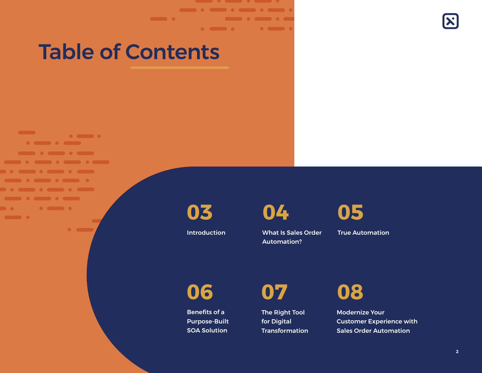## Table of Contents

 $\bullet$   $\bullet$ 

**Service** 

 $\bullet \hspace{2mm} \bullet \hspace{2mm} \bullet \hspace{2mm} \bullet \hspace{2mm} \bullet \hspace{2mm} \bullet \hspace{2mm} \bullet \hspace{2mm}$ 

 $\sim$   $\sim$   $\sim$   $\sim$ 

**Die** 

 $\blacksquare$ 

 $\blacksquare$ 

**03**

Introduction

. . . . . . <u> a componente de la componente de la componente de la componente de la componente de la componente de la compo</u>

**04**

What Is Sales Order Automation?



True Automation

**06**

Benefits of a Purpose-Built SOA Solution

**07**

The Right Tool for Digital **Transformation**  **08**

Modernize Your Customer Experience with Sales Order Automation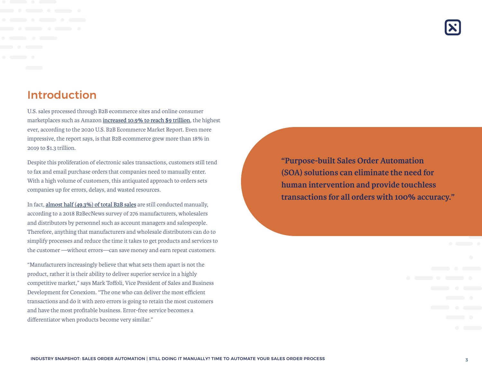### Introduction

U.S. sales processed through B2B ecommerce sites and online consumer marketplaces such as Amazon [increased 10.9% to reach \\$9 trillion](https://www.digitalcommerce360.com/product/b2b-ecommerce-market-report/), the highest ever, according to the 2020 U.S. B2B Ecommerce Market Report. Even more impressive, the report says, is that B2B ecommerce grew more than 18% in 2019 to \$1.3 trillion.

Despite this proliferation of electronic sales transactions, customers still tend to fax and email purchase orders that companies need to manually enter. With a high volume of customers, this antiquated approach to orders sets companies up for errors, delays, and wasted resources.

In fact, [almost half \(49.3%\) of total B2B sales](https://www.digitalcommerce360.com/2019/03/22/b2b-ecommerce-sales-surpass-1-trillion-with-more-growth-to-come/) are still conducted manually, according to a 2018 B2BecNews survey of 276 manufacturers, wholesalers and distributors by personnel such as account managers and salespeople. Therefore, anything that manufacturers and wholesale distributors can do to simplify processes and reduce the time it takes to get products and services to the customer —without errors—can save money and earn repeat customers.

"Manufacturers increasingly believe that what sets them apart is not the product, rather it is their ability to deliver superior service in a highly competitive market," says Mark Toffoli, Vice President of Sales and Business Development for Conexiom. "The one who can deliver the most efficient transactions and do it with zero errors is going to retain the most customers and have the most profitable business. Error-free service becomes a differentiator when products become very similar."

**"Purpose-built Sales Order Automation (SOA) solutions can eliminate the need for human intervention and provide touchless transactions for all orders with 100% accuracy."**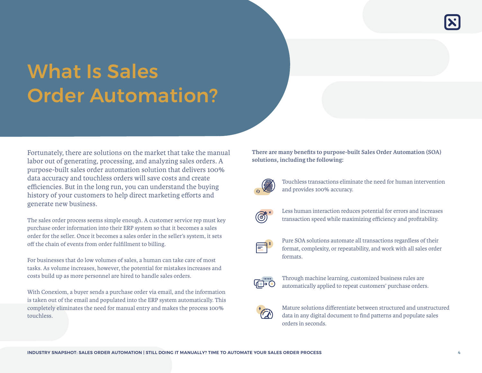## What Is Sales Order Automation?

Fortunately, there are solutions on the market that take the manual labor out of generating, processing, and analyzing sales orders. A purpose-built sales order automation solution that delivers 100% data accuracy and touchless orders will save costs and create efficiencies. But in the long run, you can understand the buying history of your customers to help direct marketing efforts and generate new business.

The sales order process seems simple enough. A customer service rep must key purchase order information into their ERP system so that it becomes a sales order for the seller. Once it becomes a sales order in the seller's system, it sets off the chain of events from order fulfillment to billing.

For businesses that do low volumes of sales, a human can take care of most tasks. As volume increases, however, the potential for mistakes increases and costs build up as more personnel are hired to handle sales orders.

With Conexiom, a buyer sends a purchase order via email, and the information is taken out of the email and populated into the ERP system automatically. This completely eliminates the need for manual entry and makes the process 100% touchless.

**There are many benefits to purpose-built Sales Order Automation (SOA) solutions, including the following:**



Touchless transactions eliminate the need for human intervention and provides 100% accuracy.



Less human interaction reduces potential for errors and increases transaction speed while maximizing efficiency and profitability.



Pure SOA solutions automate all transactions regardless of their format, complexity, or repeatability, and work with all sales order formats.



Through machine learning, customized business rules are automatically applied to repeat customers' purchase orders.



Mature solutions differentiate between structured and unstructured data in any digital document to find patterns and populate sales orders in seconds.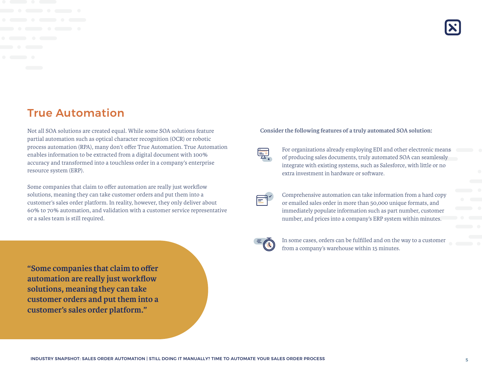### True Automation

Not all SOA solutions are created equal. While some SOA solutions feature partial automation such as optical character recognition (OCR) or robotic process automation (RPA), many don't offer True Automation. True Automation enables information to be extracted from a digital document with 100% accuracy and transformed into a touchless order in a company's enterprise resource system (ERP).

Some companies that claim to offer automation are really just workflow solutions, meaning they can take customer orders and put them into a customer's sales order platform. In reality, however, they only deliver about 60% to 70% automation, and validation with a customer service representative or a sales team is still required.

**"Some companies that claim to offer automation are really just workflow solutions, meaning they can take customer orders and put them into a customer's sales order platform."**

#### **Consider the following features of a truly automated SOA solution:**



For organizations already employing EDI and other electronic means of producing sales documents, truly automated SOA can seamlessly integrate with existing systems, such as Salesforce, with little or no extra investment in hardware or software.

Comprehensive automation can take information from a hard copy or emailed sales order in more than 50,000 unique formats, and immediately populate information such as part number, customer number, and prices into a company's ERP system within minutes.



In some cases, orders can be fulfilled and on the way to a customer from a company's warehouse within 15 minutes.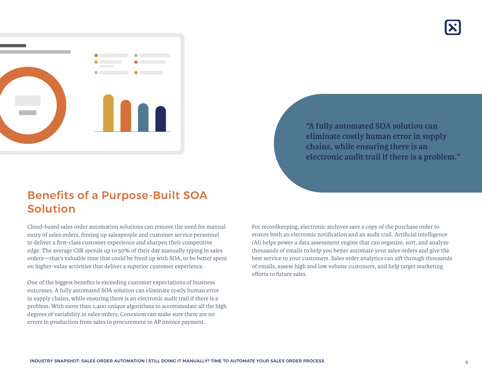

**"A fully automated SOA solution can eliminate costly human error in supply chains, while ensuring there is an electronic audit trail if there is a problem."**

### Benefits of a Purpose-Built SOA Solution

Cloud-based sales order automation solutions can remove the need for manual entry of sales orders, freeing up salespeople and customer service personnel to deliver a first-class customer experience and sharpen their competitive edge. The average CSR spends up to 50% of their day manually typing in sales orders—that's valuable time that could be freed up with SOA, to be better spent on higher-value activities that deliver a superior customer experience.

One of the biggest benefits is exceeding customer expectations of business outcomes. A fully automated SOA solution can eliminate costly human error in supply chains, while ensuring there is an electronic audit trail if there is a problem. With more than 1,400 unique algorithms to accommodate all the high degrees of variability in sales orders, Conexiom can make sure there are no errors in production from sales to procurement to AP invoice payment.

For recordkeeping, electronic archives save a copy of the purchase order to ensure both an electronic notification and an audit trail. Artificial intelligence (AI) helps power a data assessment engine that can organize, sort, and analyze thousands of emails to help you better automate your sales orders and give the best service to your customers. Sales order analytics can sift through thousands of emails, assess high and low volume customers, and help target marketing efforts to future sales.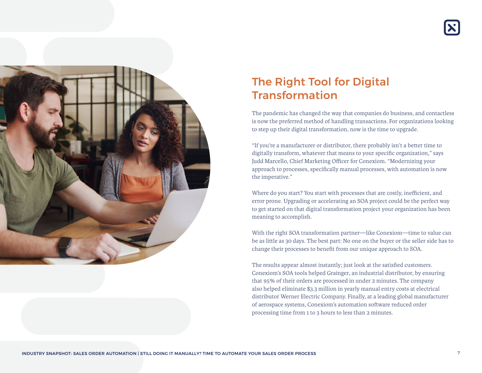



## The Right Tool for Digital Transformation

The pandemic has changed the way that companies do business, and contactless is now the preferred method of handling transactions. For organizations looking to step up their digital transformation, now is the time to upgrade.

"If you're a manufacturer or distributor, there probably isn't a better time to digitally transform, whatever that means to your specific organization," says Judd Marcello, Chief Marketing Officer for Conexiom. "Modernizing your approach to processes, specifically manual processes, with automation is now the imperative."

Where do you start? You start with processes that are costly, inefficient, and error prone. Upgrading or accelerating an SOA project could be the perfect way to get started on that digital transformation project your organization has been meaning to accomplish.

With the right SOA transformation partner—like Conexiom—time to value can be as little as 30 days. The best part: No one on the buyer or the seller side has to change their processes to benefit from our unique approach to SOA.

The results appear almost instantly; just look at the satisfied customers. Conexiom's SOA tools helped Grainger, an industrial distributor, by ensuring that 95% of their orders are processed in under 2 minutes. The company also helped eliminate \$3.3 million in yearly manual entry costs at electrical distributor Werner Electric Company. Finally, at a leading global manufacturer of aerospace systems, Conexiom's automation software reduced order processing time from 1 to 3 hours to less than 2 minutes.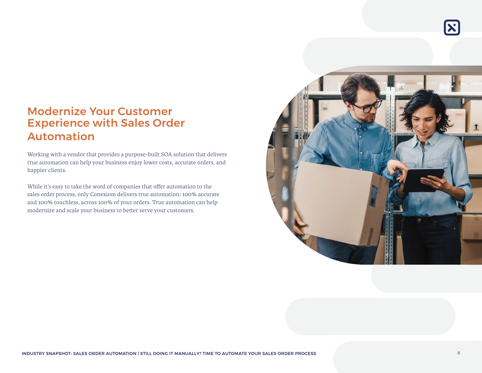### Modernize Your Customer Experience with Sales Order Automation

Working with a vendor that provides a purpose-built SOA solution that delivers true automation can help your business enjoy lower costs, accurate orders, and happier clients.

While it's easy to take the word of companies that offer automation to the sales order process, only Conexiom delivers true automation: 100% accurate and 100% touchless, across 100% of your orders. True automation can help modernize and scale your business to better serve your customers.



 $|\mathbf{x}|$